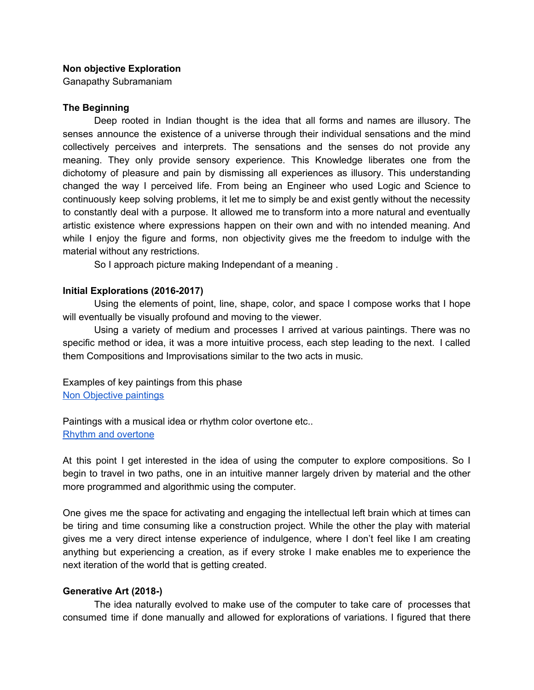#### **Non objective Exploration**

Ganapathy Subramaniam

#### **The Beginning**

Deep rooted in Indian thought is the idea that all forms and names are illusory. The senses announce the existence of a universe through their individual sensations and the mind collectively perceives and interprets. The sensations and the senses do not provide any meaning. They only provide sensory experience. This Knowledge liberates one from the dichotomy of pleasure and pain by dismissing all experiences as illusory. This understanding changed the way I perceived life. From being an Engineer who used Logic and Science to continuously keep solving problems, it let me to simply be and exist gently without the necessity to constantly deal with a purpose. It allowed me to transform into a more natural and eventually artistic existence where expressions happen on their own and with no intended meaning. And while I enjoy the figure and forms, non objectivity gives me the freedom to indulge with the material without any restrictions.

So I approach picture making Independant of a meaning .

#### **Initial Explorations (2016-2017)**

Using the elements of point, line, shape, color, and space I compose works that I hope will eventually be visually profound and moving to the viewer.

Using a variety of medium and processes I arrived at various paintings. There was no specific method or idea, it was a more intuitive process, each step leading to the next. I called them Compositions and Improvisations similar to the two acts in music.

Examples of key paintings from this phase Non [Objective](https://drive.google.com/drive/u/1/folders/1ytHNwKiRvxC89Jgob0rm1cNA68am08ZK) paintings

Paintings with a musical idea or rhythm color overtone etc.. Rhythm and [overtone](https://drive.google.com/drive/u/1/folders/1vpkKeaKIusni8Vz2qVWy8KZvJGMJ0Oxd)

At this point I get interested in the idea of using the computer to explore compositions. So I begin to travel in two paths, one in an intuitive manner largely driven by material and the other more programmed and algorithmic using the computer.

One gives me the space for activating and engaging the intellectual left brain which at times can be tiring and time consuming like a construction project. While the other the play with material gives me a very direct intense experience of indulgence, where I don't feel like I am creating anything but experiencing a creation, as if every stroke I make enables me to experience the next iteration of the world that is getting created.

#### **Generative Art (2018-)**

The idea naturally evolved to make use of the computer to take care of processes that consumed time if done manually and allowed for explorations of variations. I figured that there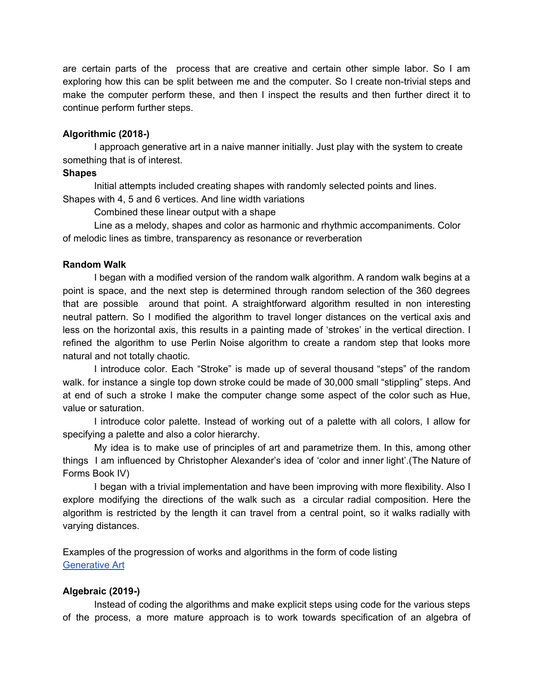are certain parts of the process that are creative and certain other simple labor. So I am exploring how this can be split between me and the computer. So I create non-trivial steps and make the computer perform these, and then I inspect the results and then further direct it to continue perform further steps.

### **Algorithmic (2018-)**

I approach generative art in a naive manner initially. Just play with the system to create something that is of interest.

#### **Shapes**

Initial attempts included creating shapes with randomly selected points and lines.

Shapes with 4, 5 and 6 vertices. And line width variations

Combined these linear output with a shape

Line as a melody, shapes and color as harmonic and rhythmic accompaniments. Color of melodic lines as timbre, transparency as resonance or reverberation

### **Random Walk**

I began with a modified version of the random walk algorithm. A random walk begins at a point is space, and the next step is determined through random selection of the 360 degrees that are possible around that point. A straightforward algorithm resulted in non interesting neutral pattern. So I modified the algorithm to travel longer distances on the vertical axis and less on the horizontal axis, this results in a painting made of 'strokes' in the vertical direction. I refined the algorithm to use Perlin Noise algorithm to create a random step that looks more natural and not totally chaotic.

I introduce color. Each "Stroke" is made up of several thousand "steps" of the random walk. for instance a single top down stroke could be made of 30,000 small "stippling" steps. And at end of such a stroke I make the computer change some aspect of the color such as Hue, value or saturation.

I introduce color palette. Instead of working out of a palette with all colors, I allow for specifying a palette and also a color hierarchy.

My idea is to make use of principles of art and parametrize them. In this, among other things I am influenced by Christopher Alexander's idea of 'color and inner light'.(The Nature of Forms Book IV)

I began with a trivial implementation and have been improving with more flexibility. Also I explore modifying the directions of the walk such as a circular radial composition. Here the algorithm is restricted by the length it can travel from a central point, so it walks radially with varying distances.

Examples of the progression of works and algorithms in the form of code listing [Generative](https://drive.google.com/drive/u/1/folders/1bWaUy7TS7oPDDAtVehnl4oPFa3E1I607) Art

## **Algebraic (2019-)**

Instead of coding the algorithms and make explicit steps using code for the various steps of the process, a more mature approach is to work towards specification of an algebra of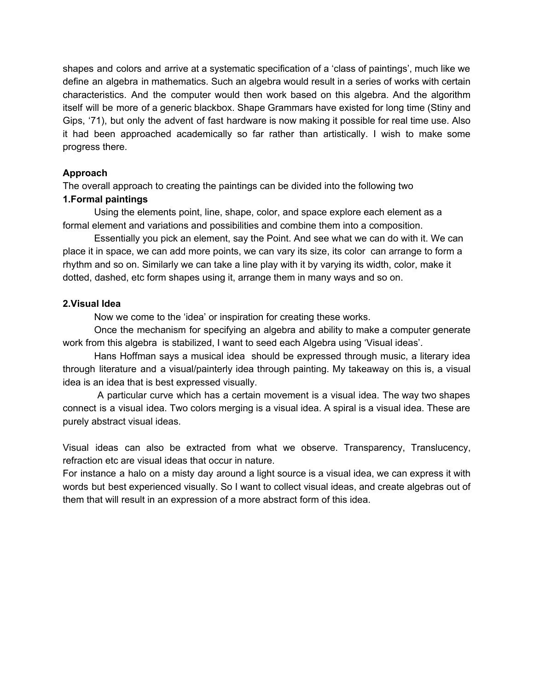shapes and colors and arrive at a systematic specification of a 'class of paintings', much like we define an algebra in mathematics. Such an algebra would result in a series of works with certain characteristics. And the computer would then work based on this algebra. And the algorithm itself will be more of a generic blackbox. Shape Grammars have existed for long time (Stiny and Gips, '71), but only the advent of fast hardware is now making it possible for real time use. Also it had been approached academically so far rather than artistically. I wish to make some progress there.

# **Approach**

The overall approach to creating the paintings can be divided into the following two **1.Formal paintings**

Using the elements point, line, shape, color, and space explore each element as a formal element and variations and possibilities and combine them into a composition.

Essentially you pick an element, say the Point. And see what we can do with it. We can place it in space, we can add more points, we can vary its size, its color can arrange to form a rhythm and so on. Similarly we can take a line play with it by varying its width, color, make it dotted, dashed, etc form shapes using it, arrange them in many ways and so on.

## **2.Visual Idea**

Now we come to the 'idea' or inspiration for creating these works.

Once the mechanism for specifying an algebra and ability to make a computer generate work from this algebra is stabilized, I want to seed each Algebra using 'Visual ideas'.

Hans Hoffman says a musical idea should be expressed through music, a literary idea through literature and a visual/painterly idea through painting. My takeaway on this is, a visual idea is an idea that is best expressed visually.

A particular curve which has a certain movement is a visual idea. The way two shapes connect is a visual idea. Two colors merging is a visual idea. A spiral is a visual idea. These are purely abstract visual ideas.

Visual ideas can also be extracted from what we observe. Transparency, Translucency, refraction etc are visual ideas that occur in nature.

For instance a halo on a misty day around a light source is a visual idea, we can express it with words but best experienced visually. So I want to collect visual ideas, and create algebras out of them that will result in an expression of a more abstract form of this idea.